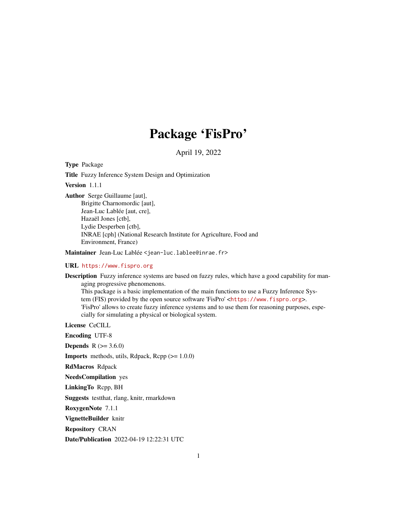# Package 'FisPro'

April 19, 2022

<span id="page-0-0"></span>Type Package

Title Fuzzy Inference System Design and Optimization

Version 1.1.1

Author Serge Guillaume [aut],

Brigitte Charnomordic [aut], Jean-Luc Lablée [aut, cre], Hazaël Jones [ctb], Lydie Desperben [ctb], INRAE [cph] (National Research Institute for Agriculture, Food and Environment, France)

Maintainer Jean-Luc Lablée <jean-luc.lablee@inrae.fr>

URL <https://www.fispro.org>

Description Fuzzy inference systems are based on fuzzy rules, which have a good capability for managing progressive phenomenons. This package is a basic implementation of the main functions to use a Fuzzy Inference System (FIS) provided by the open source software 'FisPro' <<https://www.fispro.org>>. 'FisPro' allows to create fuzzy inference systems and to use them for reasoning purposes, especially for simulating a physical or biological system.

License CeCILL

- Encoding UTF-8
- **Depends** R  $(>= 3.6.0)$

**Imports** methods, utils, Rdpack, Rcpp  $(>= 1.0.0)$ 

RdMacros Rdpack

NeedsCompilation yes

LinkingTo Rcpp, BH

Suggests testthat, rlang, knitr, rmarkdown

RoxygenNote 7.1.1

VignetteBuilder knitr

Repository CRAN

Date/Publication 2022-04-19 12:22:31 UTC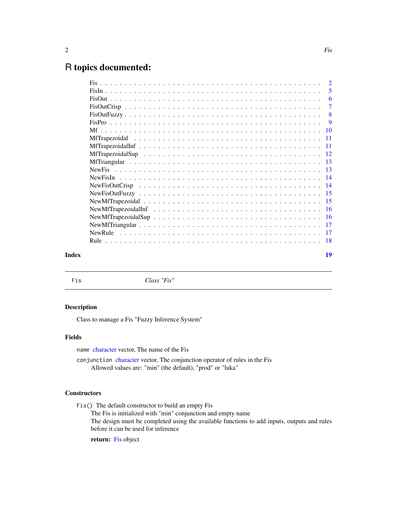# <span id="page-1-0"></span>R topics documented:

|       |                                                                                                              | -5             |
|-------|--------------------------------------------------------------------------------------------------------------|----------------|
|       |                                                                                                              | -6             |
|       |                                                                                                              | $\overline{7}$ |
|       |                                                                                                              |                |
|       |                                                                                                              |                |
|       |                                                                                                              |                |
|       |                                                                                                              |                |
|       |                                                                                                              |                |
|       |                                                                                                              |                |
|       |                                                                                                              |                |
|       |                                                                                                              |                |
|       |                                                                                                              |                |
|       |                                                                                                              |                |
|       |                                                                                                              |                |
|       |                                                                                                              |                |
|       | New MfT rapezoidal Inf $\ldots \ldots \ldots \ldots \ldots \ldots \ldots \ldots \ldots \ldots \ldots \ldots$ |                |
|       |                                                                                                              |                |
|       |                                                                                                              |                |
|       |                                                                                                              |                |
|       |                                                                                                              |                |
| Index |                                                                                                              | 19             |

<span id="page-1-1"></span>Fis *Class "Fis"*

#### Description

Class to manage a Fis "Fuzzy Inference System"

#### Fields

name [character](#page-0-0) vector, The name of the Fis

conjunction [character](#page-0-0) vector, The conjunction operator of rules in the Fis Allowed values are: "min" (the default), "prod" or "luka"

# **Constructors**

Fis() The default constructor to build an empty Fis

The Fis is initialized with "min" conjunction and empty name The design must be completed using the available functions to add inputs, outputs and rules

before it can be used for inference

return: [Fis](#page-1-1) object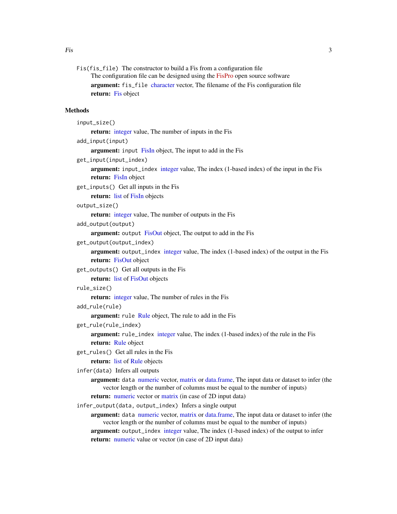Fis(fis\_file) The constructor to build a Fis from a configuration file The configuration file can be designed using the [FisPro](https://www.fispro.org) open source software argument: fis\_file [character](#page-0-0) vector, The filename of the Fis configuration file return: [Fis](#page-1-1) object

#### Methods

```
input_size()
```
return: [integer](#page-0-0) value, The number of inputs in the Fis

add\_input(input)

argument: input [FisIn](#page-4-1) object, The input to add in the Fis

get\_input(input\_index)

argument: input\_index [integer](#page-0-0) value, The index (1-based index) of the input in the Fis return: [FisIn](#page-4-1) object

get\_inputs() Get all inputs in the Fis

return: [list](#page-0-0) of [FisIn](#page-4-1) objects

output\_size()

return: [integer](#page-0-0) value, The number of outputs in the Fis

add\_output(output)

argument: output [FisOut](#page-5-1) object, The output to add in the Fis

get\_output(output\_index)

argument: output\_index [integer](#page-0-0) value, The index (1-based index) of the output in the Fis return: [FisOut](#page-5-1) object

get\_outputs() Get all outputs in the Fis

return: [list](#page-0-0) of [FisOut](#page-5-1) objects

rule\_size()

return: [integer](#page-0-0) value, The number of rules in the Fis

```
add_rule(rule)
```
argument: rule [Rule](#page-17-1) object, The rule to add in the Fis

get\_rule(rule\_index)

argument: rule\_index [integer](#page-0-0) value, The index (1-based index) of the rule in the Fis return: [Rule](#page-17-1) object

get\_rules() Get all rules in the Fis

```
listRule objects
```

```
infer(data) Infers all outputs
```
argument: data [numeric](#page-0-0) vector, [matrix](#page-0-0) or [data.frame,](#page-0-0) The input data or dataset to infer (the vector length or the number of columns must be equal to the number of inputs)

return: [numeric](#page-0-0) vector or [matrix](#page-0-0) (in case of 2D input data)

infer\_output(data, output\_index) Infers a single output

argument: data [numeric](#page-0-0) vector, [matrix](#page-0-0) or [data.frame,](#page-0-0) The input data or dataset to infer (the vector length or the number of columns must be equal to the number of inputs) argument: output\_index [integer](#page-0-0) value, The index (1-based index) of the output to infer return: [numeric](#page-0-0) value or vector (in case of 2D input data)

<span id="page-2-0"></span>Fis 3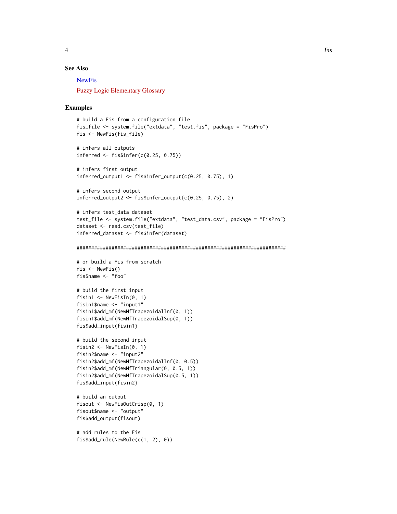# <span id="page-3-0"></span>See Also

**[NewFis](#page-12-1)** 

[Fuzzy Logic Elementary Glossary](https://www.fispro.org/documentation/en/inline-help/node39.html)

#### Examples

```
# build a Fis from a configuration file
fis_file <- system.file("extdata", "test.fis", package = "FisPro")
fis <- NewFis(fis_file)
```
# infers all outputs inferred  $\leq$  fis\$infer(c(0.25, 0.75))

```
# infers first output
inferred\_output1 \leq-fissinfer\_output(c(0.25, 0.75), 1)
```

```
# infers second output
inferred\_output2 \leq -fissinfer\_output(c(0.25, 0.75), 2)
```

```
# infers test_data dataset
test_file <- system.file("extdata", "test_data.csv", package = "FisPro")
dataset <- read.csv(test_file)
inferred_dataset <- fis$infer(dataset)
```

```
########################################################################
```

```
# or build a Fis from scratch
fis \leftarrow NewFis()
fis$name <- "foo"
```

```
# build the first input
fisin1 \leq NewFisIn(0, 1)
fisin1$name <- "input1"
fisin1$add_mf(NewMfTrapezoidalInf(0, 1))
fisin1$add_mf(NewMfTrapezoidalSup(0, 1))
fis$add_input(fisin1)
```

```
# build the second input
fisin2 <- NewFisIn(0, 1)
fisin2$name <- "input2"
fisin2$add_mf(NewMfTrapezoidalInf(0, 0.5))
fisin2$add_mf(NewMfTriangular(0, 0.5, 1))
fisin2$add_mf(NewMfTrapezoidalSup(0.5, 1))
fis$add_input(fisin2)
```

```
# build an output
fisout <- NewFisOutCrisp(0, 1)
fisout$name <- "output"
fis$add_output(fisout)
```

```
# add rules to the Fis
fis$add_rule(NewRule(c(1, 2), 0))
```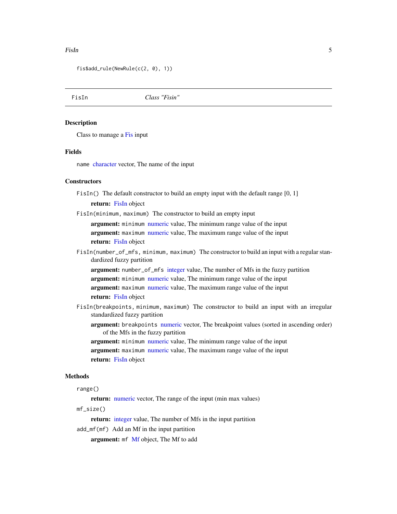#### <span id="page-4-0"></span>Fish 5 and 5 and 5 and 5 and 5 and 5 and 5 and 5 and 5 and 5 and 5 and 5 and 5 and 5 and 5 and 5 and 5 and 5 and 5 and 5 and 5 and 5 and 5 and 5 and 5 and 5 and 5 and 5 and 5 and 5 and 5 and 5 and 5 and 5 and 5 and 5 and 5

fis\$add\_rule(NewRule(c(2, 0), 1))

<span id="page-4-1"></span>FisIn *Class "Fisin"*

#### Description

Class to manage a [Fis](#page-1-1) input

#### Fields

name [character](#page-0-0) vector, The name of the input

#### **Constructors**

FisIn() The default constructor to build an empty input with the default range  $[0, 1]$ 

return: [FisIn](#page-4-1) object

FisIn(minimum, maximum) The constructor to build an empty input

argument: minimum [numeric](#page-0-0) value, The minimum range value of the input argument: maximum [numeric](#page-0-0) value, The maximum range value of the input return: [FisIn](#page-4-1) object

FisIn(number\_of\_mfs, minimum, maximum) The constructor to build an input with a regular standardized fuzzy partition

argument: number\_of\_mfs [integer](#page-0-0) value, The number of Mfs in the fuzzy partition argument: minimum [numeric](#page-0-0) value, The minimum range value of the input argument: maximum [numeric](#page-0-0) value, The maximum range value of the input return: [FisIn](#page-4-1) object

- FisIn(breakpoints, minimum, maximum) The constructor to build an input with an irregular standardized fuzzy partition
	- argument: breakpoints [numeric](#page-0-0) vector, The breakpoint values (sorted in ascending order) of the Mfs in the fuzzy partition

argument: minimum [numeric](#page-0-0) value, The minimum range value of the input argument: maximum [numeric](#page-0-0) value, The maximum range value of the input return: [FisIn](#page-4-1) object

#### Methods

```
range()
```
return: [numeric](#page-0-0) vector, The range of the input (min max values)

mf\_size()

return: [integer](#page-0-0) value, The number of Mfs in the input partition

add\_mf(mf) Add an Mf in the input partition

argument: mf [Mf](#page-9-1) object, The Mf to add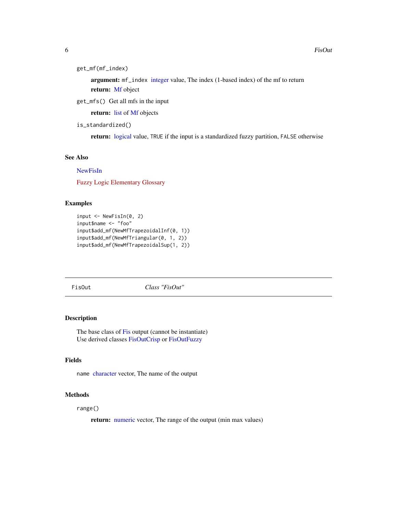<span id="page-5-0"></span>6 FisOut **FisOut 2** FisOut **1** 

```
get_mf(mf_index)
```
argument: mf\_index [integer](#page-0-0) value, The index (1-based index) of the mf to return return: [Mf](#page-9-1) object

get\_mfs() Get all mfs in the input

return: [list](#page-0-0) of [Mf](#page-9-1) objects

is\_standardized()

return: [logical](#page-0-0) value, TRUE if the input is a standardized fuzzy partition, FALSE otherwise

#### See Also

#### [NewFisIn](#page-13-1)

[Fuzzy Logic Elementary Glossary](https://www.fispro.org/documentation/en/inline-help/node39.html)

#### Examples

```
input \leq NewFisIn(0, 2)
input$name <- "foo"
input$add_mf(NewMfTrapezoidalInf(0, 1))
input$add_mf(NewMfTriangular(0, 1, 2))
input$add_mf(NewMfTrapezoidalSup(1, 2))
```
<span id="page-5-1"></span>FisOut *Class "FisOut"*

### Description

The base class of [Fis](#page-1-1) output (cannot be instantiate) Use derived classes [FisOutCrisp](#page-6-1) or [FisOutFuzzy](#page-7-1)

# Fields

name [character](#page-0-0) vector, The name of the output

#### Methods

range()

return: [numeric](#page-0-0) vector, The range of the output (min max values)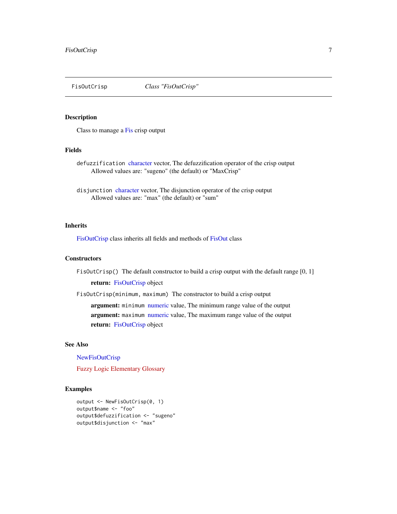<span id="page-6-1"></span><span id="page-6-0"></span>

Class to manage a [Fis](#page-1-1) crisp output

#### Fields

defuzzification [character](#page-0-0) vector, The defuzzification operator of the crisp output Allowed values are: "sugeno" (the default) or "MaxCrisp"

disjunction [character](#page-0-0) vector, The disjunction operator of the crisp output Allowed values are: "max" (the default) or "sum"

#### Inherits

[FisOutCrisp](#page-6-1) class inherits all fields and methods of [FisOut](#page-5-1) class

#### **Constructors**

FisOutCrisp() The default constructor to build a crisp output with the default range [0, 1]

return: [FisOutCrisp](#page-6-1) object

FisOutCrisp(minimum, maximum) The constructor to build a crisp output

argument: minimum [numeric](#page-0-0) value, The minimum range value of the output argument: maximum [numeric](#page-0-0) value, The maximum range value of the output return: [FisOutCrisp](#page-6-1) object

#### See Also

#### [NewFisOutCrisp](#page-13-2)

[Fuzzy Logic Elementary Glossary](https://www.fispro.org/documentation/en/inline-help/node39.html)

#### Examples

```
output <- NewFisOutCrisp(0, 1)
output$name <- "foo"
output$defuzzification <- "sugeno"
output$disjunction <- "max"
```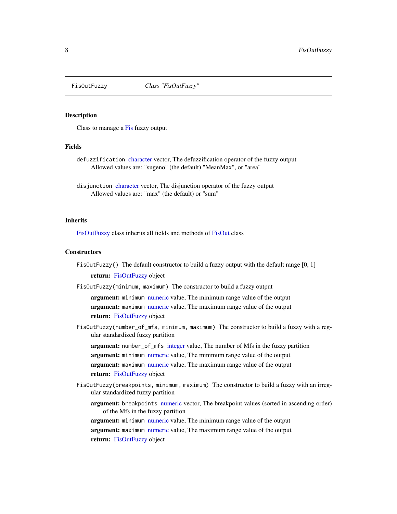<span id="page-7-1"></span><span id="page-7-0"></span>

Class to manage a [Fis](#page-1-1) fuzzy output

#### Fields

- defuzzification [character](#page-0-0) vector, The defuzzification operator of the fuzzy output Allowed values are: "sugeno" (the default) "MeanMax", or "area"
- disjunction [character](#page-0-0) vector, The disjunction operator of the fuzzy output Allowed values are: "max" (the default) or "sum"

#### Inherits

[FisOutFuzzy](#page-7-1) class inherits all fields and methods of [FisOut](#page-5-1) class

#### **Constructors**

- FisOutFuzzy() The default constructor to build a fuzzy output with the default range  $[0, 1]$ return: [FisOutFuzzy](#page-7-1) object
- FisOutFuzzy(minimum, maximum) The constructor to build a fuzzy output

argument: minimum [numeric](#page-0-0) value. The minimum range value of the output argument: maximum [numeric](#page-0-0) value, The maximum range value of the output return: [FisOutFuzzy](#page-7-1) object

FisOutFuzzy(number\_of\_mfs, minimum, maximum) The constructor to build a fuzzy with a regular standardized fuzzy partition

argument: number\_of\_mfs [integer](#page-0-0) value, The number of Mfs in the fuzzy partition argument: minimum [numeric](#page-0-0) value, The minimum range value of the output argument: maximum [numeric](#page-0-0) value, The maximum range value of the output return: [FisOutFuzzy](#page-7-1) object

- FisOutFuzzy(breakpoints, minimum, maximum) The constructor to build a fuzzy with an irregular standardized fuzzy partition
	- argument: breakpoints [numeric](#page-0-0) vector, The breakpoint values (sorted in ascending order) of the Mfs in the fuzzy partition

argument: minimum [numeric](#page-0-0) value, The minimum range value of the output argument: maximum [numeric](#page-0-0) value, The maximum range value of the output return: [FisOutFuzzy](#page-7-1) object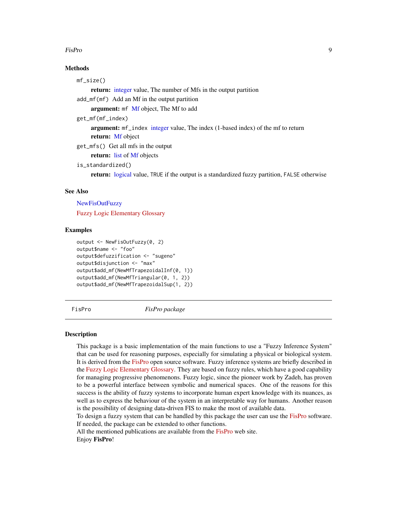#### <span id="page-8-0"></span>FisPro 9

# Methods

mf\_size()

return: [integer](#page-0-0) value, The number of Mfs in the output partition

add\_mf(mf) Add an Mf in the output partition

argument: mf [Mf](#page-9-1) object, The Mf to add

```
get_mf(mf_index)
```
argument: mf\_index [integer](#page-0-0) value, The index (1-based index) of the mf to return return: [Mf](#page-9-1) object

get\_mfs() Get all mfs in the output

return: [list](#page-0-0) of [Mf](#page-9-1) objects

```
is_standardized()
```
return: [logical](#page-0-0) value, TRUE if the output is a standardized fuzzy partition, FALSE otherwise

#### See Also

**[NewFisOutFuzzy](#page-14-1)** [Fuzzy Logic Elementary Glossary](https://www.fispro.org/documentation/en/inline-help/node39.html)

#### Examples

```
output <- NewFisOutFuzzy(0, 2)
output$name <- "foo"
output$defuzzification <- "sugeno"
output$disjunction <- "max"
output$add_mf(NewMfTrapezoidalInf(0, 1))
output$add_mf(NewMfTriangular(0, 1, 2))
output$add_mf(NewMfTrapezoidalSup(1, 2))
```
FisPro *FisPro package*

#### **Description**

This package is a basic implementation of the main functions to use a "Fuzzy Inference System" that can be used for reasoning purposes, especially for simulating a physical or biological system. It is derived from the [FisPro](https://www.fispro.org) open source software. Fuzzy inference systems are briefly described in the [Fuzzy Logic Elementary Glossary.](https://www.fispro.org/documentation/en/inline-help/node39.html) They are based on fuzzy rules, which have a good capability for managing progressive phenomenons. Fuzzy logic, since the pioneer work by Zadeh, has proven to be a powerful interface between symbolic and numerical spaces. One of the reasons for this success is the ability of fuzzy systems to incorporate human expert knowledge with its nuances, as well as to express the behaviour of the system in an interpretable way for humans. Another reason is the possibility of designing data-driven FIS to make the most of available data.

To design a fuzzy system that can be handled by this package the user can use the [FisPro](https://www.fispro.org) software. If needed, the package can be extended to other functions.

All the mentioned publications are available from the [FisPro](https://www.fispro.org) web site. Enjoy FisPro!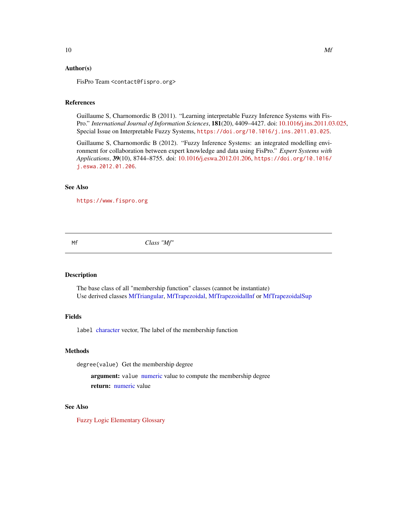#### <span id="page-9-0"></span>Author(s)

FisPro Team <contact@fispro.org>

#### References

Guillaume S, Charnomordic B (2011). "Learning interpretable Fuzzy Inference Systems with Fis-Pro." *International Journal of Information Sciences*, 181(20), 4409–4427. doi: [10.1016/j.ins.2011.03.025,](https://doi.org/10.1016/j.ins.2011.03.025) Special Issue on Interpretable Fuzzy Systems, <https://doi.org/10.1016/j.ins.2011.03.025>.

Guillaume S, Charnomordic B (2012). "Fuzzy Inference Systems: an integrated modelling environment for collaboration between expert knowledge and data using FisPro." *Expert Systems with Applications*, 39(10), 8744–8755. doi: [10.1016/j.eswa.2012.01.206,](https://doi.org/10.1016/j.eswa.2012.01.206) [https://doi.org/10.1016/](https://doi.org/10.1016/j.eswa.2012.01.206) [j.eswa.2012.01.206](https://doi.org/10.1016/j.eswa.2012.01.206).

#### See Also

<https://www.fispro.org>

<span id="page-9-1"></span>Mf *Class "Mf"*

### Description

The base class of all "membership function" classes (cannot be instantiate) Use derived classes [MfTriangular,](#page-12-2) [MfTrapezoidal,](#page-10-1) [MfTrapezoidalInf](#page-10-2) or [MfTrapezoidalSup](#page-11-1)

#### Fields

label [character](#page-0-0) vector, The label of the membership function

#### Methods

degree(value) Get the membership degree

argument: value [numeric](#page-0-0) value to compute the membership degree return: [numeric](#page-0-0) value

#### See Also

[Fuzzy Logic Elementary Glossary](https://www.fispro.org/documentation/en/inline-help/node39.html)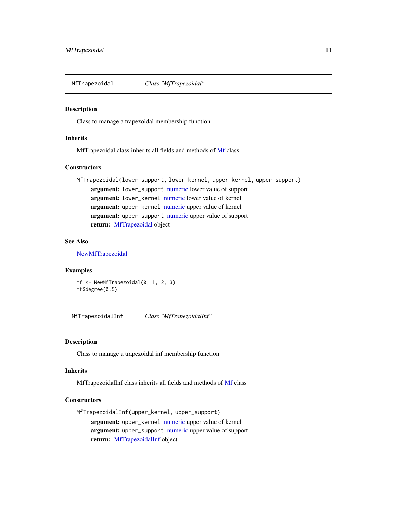<span id="page-10-1"></span><span id="page-10-0"></span>

Class to manage a trapezoidal membership function

#### **Inherits**

MfTrapezoidal class inherits all fields and methods of [Mf](#page-9-1) class

#### **Constructors**

MfTrapezoidal(lower\_support, lower\_kernel, upper\_kernel, upper\_support) argument: lower\_support [numeric](#page-0-0) lower value of support argument: lower\_kernel [numeric](#page-0-0) lower value of kernel argument: upper\_kernel [numeric](#page-0-0) upper value of kernel argument: upper\_support [numeric](#page-0-0) upper value of support return: [MfTrapezoidal](#page-10-1) object

#### See Also

[NewMfTrapezoidal](#page-14-2)

#### Examples

mf <- NewMfTrapezoidal(0, 1, 2, 3) mf\$degree(0.5)

<span id="page-10-2"></span>MfTrapezoidalInf *Class "MfTrapezoidalInf"*

#### Description

Class to manage a trapezoidal inf membership function

#### Inherits

MfTrapezoidalInf class inherits all fields and methods of [Mf](#page-9-1) class

#### **Constructors**

MfTrapezoidalInf(upper\_kernel, upper\_support)

argument: upper\_kernel [numeric](#page-0-0) upper value of kernel argument: upper\_support [numeric](#page-0-0) upper value of support return: [MfTrapezoidalInf](#page-10-2) object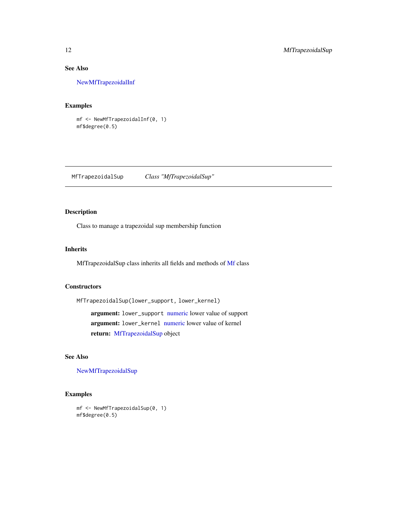# See Also

[NewMfTrapezoidalInf](#page-15-1)

### Examples

mf <- NewMfTrapezoidalInf(0, 1) mf\$degree(0.5)

<span id="page-11-1"></span>MfTrapezoidalSup *Class "MfTrapezoidalSup"*

# Description

Class to manage a trapezoidal sup membership function

#### Inherits

MfTrapezoidalSup class inherits all fields and methods of [Mf](#page-9-1) class

#### **Constructors**

MfTrapezoidalSup(lower\_support, lower\_kernel)

argument: lower\_support [numeric](#page-0-0) lower value of support argument: lower\_kernel [numeric](#page-0-0) lower value of kernel return: [MfTrapezoidalSup](#page-11-1) object

#### See Also

[NewMfTrapezoidalSup](#page-15-2)

#### Examples

mf <- NewMfTrapezoidalSup(0, 1) mf\$degree(0.5)

<span id="page-11-0"></span>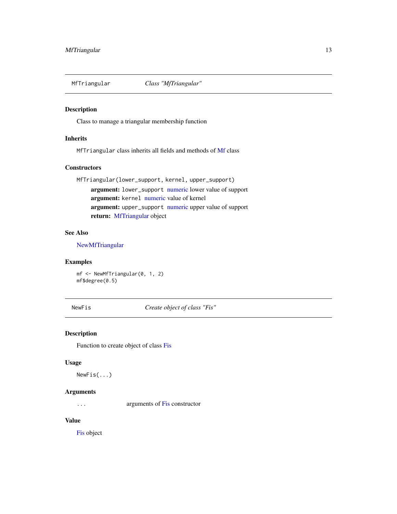<span id="page-12-2"></span><span id="page-12-0"></span>

Class to manage a triangular membership function

#### Inherits

MfTriangular class inherits all fields and methods of [Mf](#page-9-1) class

#### **Constructors**

MfTriangular(lower\_support, kernel, upper\_support) argument: lower\_support [numeric](#page-0-0) lower value of support argument: kernel [numeric](#page-0-0) value of kernel argument: upper\_support [numeric](#page-0-0) upper value of support return: [MfTriangular](#page-12-2) object

#### See Also

[NewMfTriangular](#page-16-1)

#### Examples

mf <- NewMfTriangular(0, 1, 2) mf\$degree(0.5)

<span id="page-12-1"></span>NewFis *Create object of class "Fis"*

#### Description

Function to create object of class [Fis](#page-1-1)

# Usage

NewFis(...)

#### Arguments

... arguments of [Fis](#page-1-1) constructor

#### Value

[Fis](#page-1-1) object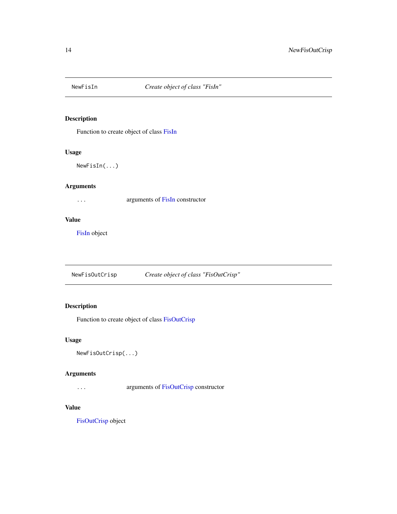<span id="page-13-1"></span><span id="page-13-0"></span>

Function to create object of class [FisIn](#page-4-1)

### Usage

NewFisIn(...)

# Arguments

... arguments of [FisIn](#page-4-1) constructor

#### Value

[FisIn](#page-4-1) object

<span id="page-13-2"></span>NewFisOutCrisp *Create object of class "FisOutCrisp"*

# Description

Function to create object of class [FisOutCrisp](#page-6-1)

#### Usage

NewFisOutCrisp(...)

### Arguments

... arguments of [FisOutCrisp](#page-6-1) constructor

#### Value

[FisOutCrisp](#page-6-1) object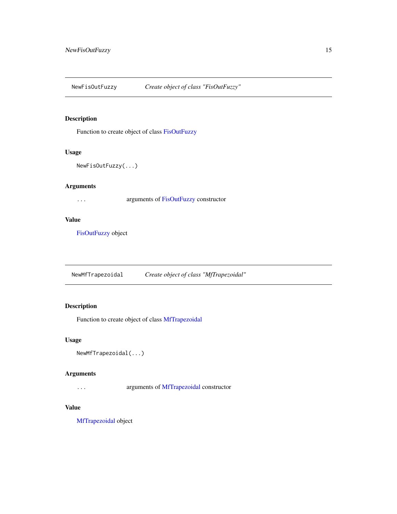<span id="page-14-1"></span><span id="page-14-0"></span>NewFisOutFuzzy *Create object of class "FisOutFuzzy"*

### Description

Function to create object of class [FisOutFuzzy](#page-7-1)

#### Usage

```
NewFisOutFuzzy(...)
```
### Arguments

... arguments of [FisOutFuzzy](#page-7-1) constructor

#### Value

[FisOutFuzzy](#page-7-1) object

<span id="page-14-2"></span>NewMfTrapezoidal *Create object of class "MfTrapezoidal"*

# Description

Function to create object of class [MfTrapezoidal](#page-10-1)

#### Usage

```
NewMfTrapezoidal(...)
```
### Arguments

... arguments of [MfTrapezoidal](#page-10-1) constructor

#### Value

[MfTrapezoidal](#page-10-1) object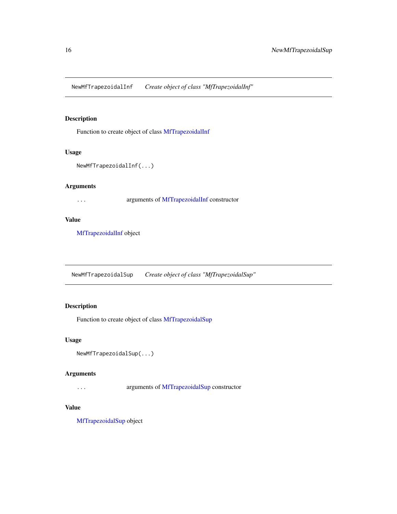<span id="page-15-1"></span><span id="page-15-0"></span>NewMfTrapezoidalInf *Create object of class "MfTrapezoidalInf"*

#### Description

Function to create object of class [MfTrapezoidalInf](#page-10-2)

#### Usage

```
NewMfTrapezoidalInf(...)
```
#### Arguments

... arguments of [MfTrapezoidalInf](#page-10-2) constructor

#### Value

[MfTrapezoidalInf](#page-10-2) object

<span id="page-15-2"></span>NewMfTrapezoidalSup *Create object of class "MfTrapezoidalSup"*

# Description

Function to create object of class [MfTrapezoidalSup](#page-11-1)

#### Usage

```
NewMfTrapezoidalSup(...)
```
#### Arguments

... arguments of [MfTrapezoidalSup](#page-11-1) constructor

#### Value

[MfTrapezoidalSup](#page-11-1) object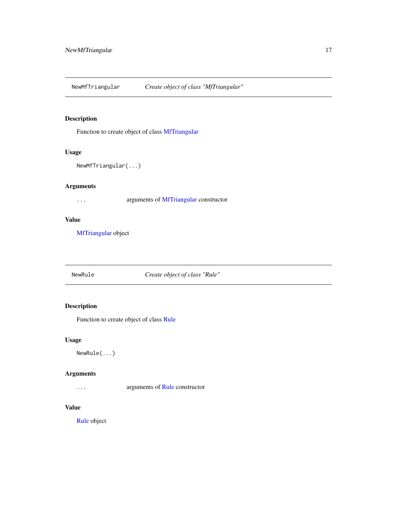<span id="page-16-1"></span><span id="page-16-0"></span>NewMfTriangular *Create object of class "MfTriangular"*

### Description

Function to create object of class [MfTriangular](#page-12-2)

#### Usage

```
NewMfTriangular(...)
```
#### Arguments

... arguments of [MfTriangular](#page-12-2) constructor

#### Value

[MfTriangular](#page-12-2) object

<span id="page-16-2"></span>NewRule *Create object of class "Rule"*

# Description

Function to create object of class [Rule](#page-17-1)

#### Usage

NewRule(...)

### Arguments

... arguments of [Rule](#page-17-1) constructor

#### Value

[Rule](#page-17-1) object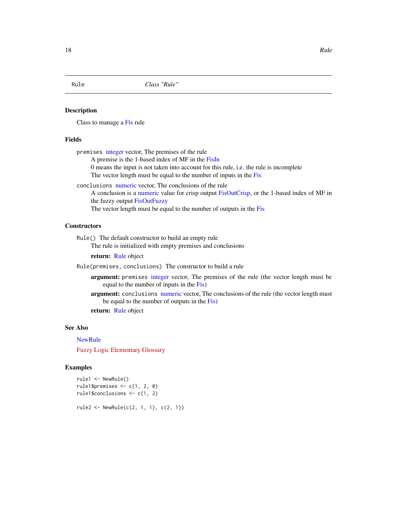<span id="page-17-1"></span><span id="page-17-0"></span>

Class to manage a [Fis](#page-1-1) rule

#### Fields

premises [integer](#page-0-0) vector, The premises of the rule

A premise is the 1-based index of MF in the [FisIn](#page-4-1)

0 means the input is not taken into account for this rule, i.e. the rule is incomplete The vector length must be equal to the number of inputs in the [Fis](#page-1-1)

conclusions [numeric](#page-0-0) vector, The conclusions of the rule

A conclusion is a [numeric](#page-0-0) value for crisp output [FisOutCrisp,](#page-6-1) or the 1-based index of MF in the fuzzy output [FisOutFuzzy](#page-7-1)

The vector length must be equal to the number of outputs in the [Fis](#page-1-1)

#### **Constructors**

Rule() The default constructor to build an empty rule The rule is initialized with empty premises and conclusions

return: [Rule](#page-17-1) object

Rule(premises, conclusions) The constructor to build a rule

- argument: premises [integer](#page-0-0) vector, The premises of the rule (the vector length must be equal to the number of inputs in the [Fis\)](#page-1-1)
- argument: conclusions [numeric](#page-0-0) vector, The conclusions of the rule (the vector length must be equal to the number of outputs in the [Fis\)](#page-1-1)

return: [Rule](#page-17-1) object

## See Also

#### **[NewRule](#page-16-2)**

[Fuzzy Logic Elementary Glossary](https://www.fispro.org/documentation/en/inline-help/node39.html)

#### Examples

```
rule1 <- NewRule()
rule1$premises <- c(1, 2, 0)
rule1$conclusions <- c(1, 2)
```
rule2 <- NewRule(c(2, 1, 1), c(2, 1))